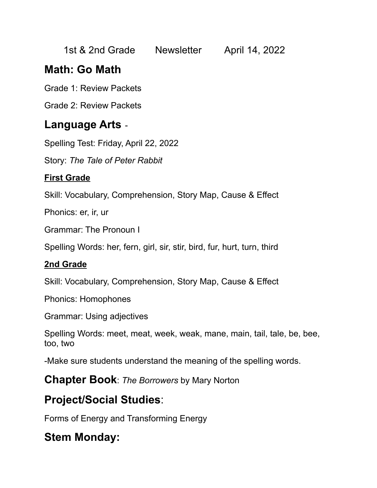| 1st & 2nd Grade | <b>Newsletter</b> | April 14, 2022 |
|-----------------|-------------------|----------------|
|-----------------|-------------------|----------------|

## **Math: Go Math**

Grade 1: Review Packets

Grade 2: Review Packets

#### **Language Arts** -

Spelling Test: Friday, April 22, 2022

Story: *The Tale of Peter Rabbit*

#### **First Grade**

Skill: Vocabulary, Comprehension, Story Map, Cause & Effect

Phonics: er, ir, ur

Grammar: The Pronoun I

Spelling Words: her, fern, girl, sir, stir, bird, fur, hurt, turn, third

#### **2nd Grade**

Skill: Vocabulary, Comprehension, Story Map, Cause & Effect

Phonics: Homophones

Grammar: Using adjectives

Spelling Words: meet, meat, week, weak, mane, main, tail, tale, be, bee, too, two

-Make sure students understand the meaning of the spelling words.

**Chapter Book**: *The Borrowers* by Mary Norton

# **Project/Social Studies**:

Forms of Energy and Transforming Energy

## **Stem Monday:**